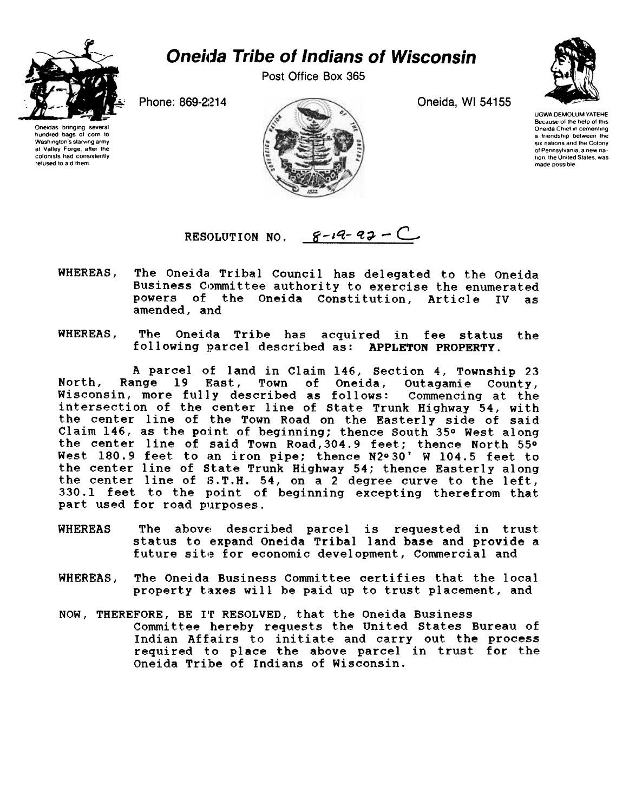

## **Oneida Tribe of Indians of Wisconsin**

Post Office Box 365



UGWA DEMOLUM YATEHE Because of the help of this Oneida Chief in cementing a friendship between the six nations and the Colony 01 Pennsylvania. a new na. tion, the United States, was made possible





RESOLUTION NO.  $8-19-97$  - C

- WHEREAS, The Oneida Tribal Council has delegated to the Oneida Business Committee authority to exercise the enumerated powers of the Oneida Constitution, Article IV as amended, and
- WHEREAS, The Oneida Tribe has acquired in fee status the following parcel described as: APPLETON PROPERTY.

A parcel of land in Claim 146, Section 4, Township 23<br>ange 19 East, Town of Oneida, Outagamie County, North, Range 19 East, Town of Oneida, Outagamie County, Wisconsin, more fully described as follows: Commencing at the intersection of the center line of State Trunk Highway 54, with the center line of the Town Road on the Easterly side of said Claim 146, as the point of beginning; thence South 35 $\circ$  West along the center line of said Town Road,304.9 feet; thence North 55° West. 180.9 feet to an iron pipe; thence N2° 30' W 104.5 feet to the center line of state Trunk Highway 54; thence Easterly along the center line of S.T.H. 54, on a 2 degree curve to the left, 330.1 feet to the point of beginning excepting therefrom that part used for road purposes.

- WHEREAS The above described parcel is requested in trust status to expand Oneida Tribal land base and provide a future site for economic development, Commercial and
- The Oneida Business Committee certifies that the local WHEREAS. property taxes will be paid up to trust placement, and
- NOW, THEREFORE, BE I'f RESOLVED, that the Oneida Business Committee hereby requests the United States Bureau of Indian Affairs to initiate and carry out the process required to place the above parcel in trust for the Oneida Tribe of Indians of Wisconsin.